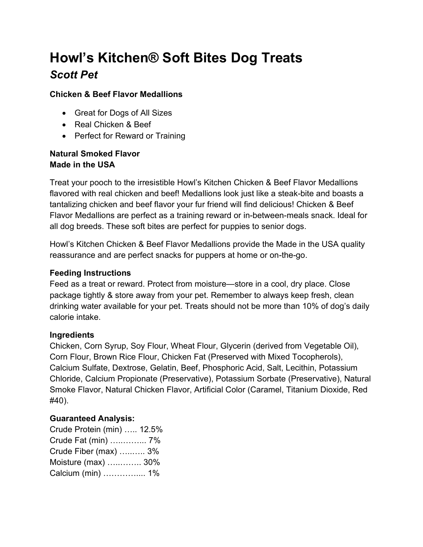# Howl's Kitchen® Soft Bites Dog Treats Scott Pet

#### Chicken & Beef Flavor Medallions

- Great for Dogs of All Sizes
- Real Chicken & Beef
- Perfect for Reward or Training

#### Natural Smoked Flavor Made in the USA

Treat your pooch to the irresistible Howl's Kitchen Chicken & Beef Flavor Medallions flavored with real chicken and beef! Medallions look just like a steak-bite and boasts a tantalizing chicken and beef flavor your fur friend will find delicious! Chicken & Beef Flavor Medallions are perfect as a training reward or in-between-meals snack. Ideal for all dog breeds. These soft bites are perfect for puppies to senior dogs.

Howl's Kitchen Chicken & Beef Flavor Medallions provide the Made in the USA quality reassurance and are perfect snacks for puppers at home or on-the-go.

#### Feeding Instructions

Feed as a treat or reward. Protect from moisture—store in a cool, dry place. Close package tightly & store away from your pet. Remember to always keep fresh, clean drinking water available for your pet. Treats should not be more than 10% of dog's daily calorie intake.

## Ingredients

Chicken, Corn Syrup, Soy Flour, Wheat Flour, Glycerin (derived from Vegetable Oil), Corn Flour, Brown Rice Flour, Chicken Fat (Preserved with Mixed Tocopherols), Calcium Sulfate, Dextrose, Gelatin, Beef, Phosphoric Acid, Salt, Lecithin, Potassium Chloride, Calcium Propionate (Preservative), Potassium Sorbate (Preservative), Natural Smoke Flavor, Natural Chicken Flavor, Artificial Color (Caramel, Titanium Dioxide, Red #40).

## Guaranteed Analysis:

Crude Protein (min) ….. 12.5% Crude Fat (min) …..……... 7% Crude Fiber (max) …..….. 3% Moisture (max) …..…….. 30% Calcium (min) ………….... 1%